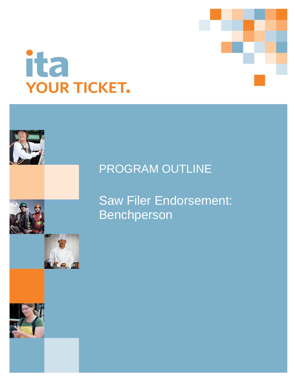

# PROGRAM OUTLINE

Saw Filer Endorsement: Benchperson



ita

**YOUR TICKET.**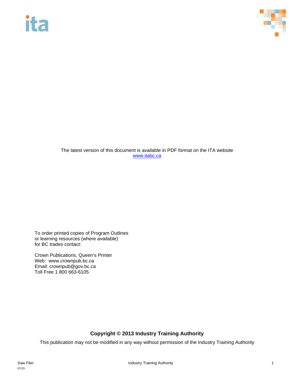# ita



The latest version of this document is available in PDF format on the ITA website [www.itabc.ca](http://www.itabc.ca/)

To order printed copies of Program Outlines or learning resources (where available) for BC trades contact:

Crown Publications, Queen's Printer Web: www.crownpub.bc.ca Email: crownpub@gov.bc.ca Toll Free 1 800 663-6105

### **Copyright © 2013 Industry Training Authority**

This publication may not be modified in any way without permission of the Industry Training Authority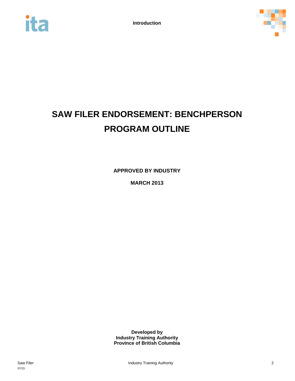



# **SAW FILER ENDORSEMENT: BENCHPERSON PROGRAM OUTLINE**

**APPROVED BY INDUSTRY**

**MARCH 2013**

**Developed by Industry Training Authority Province of British Columbia**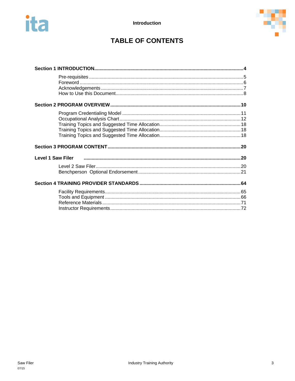



## **TABLE OF CONTENTS**

| <b>Level 1 Saw Filer</b> |  |
|--------------------------|--|
|                          |  |
|                          |  |
|                          |  |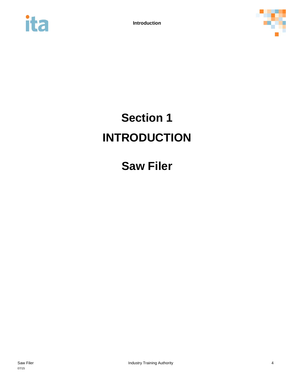<span id="page-4-0"></span>



# **Section 1 INTRODUCTION**

# **Saw Filer**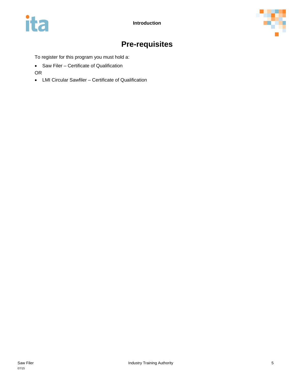



## **Pre-requisites**

<span id="page-5-0"></span>To register for this program you must hold a:

• Saw Filer – Certificate of Qualification

OR

• LMI Circular Sawfiler – Certificate of Qualification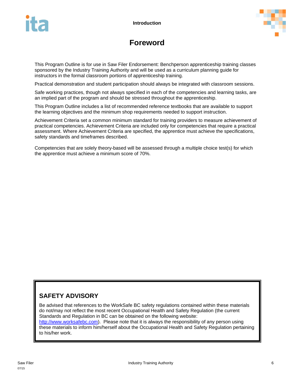



## **Foreword**

<span id="page-6-0"></span>This Program Outline is for use in Saw Filer Endorsement: Benchperson apprenticeship training classes sponsored by the Industry Training Authority and will be used as a curriculum planning guide for instructors in the formal classroom portions of apprenticeship training.

Practical demonstration and student participation should always be integrated with classroom sessions.

Safe working practices, though not always specified in each of the competencies and learning tasks, are an implied part of the program and should be stressed throughout the apprenticeship.

This Program Outline includes a list of recommended reference textbooks that are available to support the learning objectives and the minimum shop requirements needed to support instruction.

Achievement Criteria set a common minimum standard for training providers to measure achievement of practical competencies. Achievement Criteria are included only for competencies that require a practical assessment. Where Achievement Criteria are specified, the apprentice must achieve the specifications, safety standards and timeframes described.

Competencies that are solely theory-based will be assessed through a multiple choice test(s) for which the apprentice must achieve a minimum score of 70%.

### **SAFETY ADVISORY**

Be advised that references to the WorkSafe BC safety regulations contained within these materials do not/may not reflect the most recent Occupational Health and Safety Regulation (the current Standards and Regulation in BC can be obtained on the following website: [http://www.worksafebc.com\)](http://www.worksafebc.com/). Please note that it is always the responsibility of any person using these materials to inform him/herself about the Occupational Health and Safety Regulation pertaining to his/her work.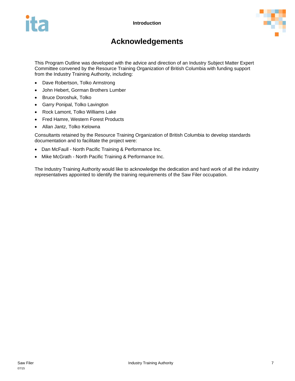



## **Acknowledgements**

<span id="page-7-0"></span>This Program Outline was developed with the advice and direction of an Industry Subject Matter Expert Committee convened by the Resource Training Organization of British Columbia with funding support from the Industry Training Authority, including:

- Dave Robertson, Tolko Armstrong
- John Hebert, Gorman Brothers Lumber
- Bruce Doroshuk, Tolko
- Garry Ponipal, Tolko Lavington
- Rock Lamont, Tolko Williams Lake
- Fred Hamre, Western Forest Products
- Allan Jantz, Tolko Kelowna

Consultants retained by the Resource Training Organization of British Columbia to develop standards documentation and to facilitate the project were:

- Dan McFaull North Pacific Training & Performance Inc.
- Mike McGrath North Pacific Training & Performance Inc.

The Industry Training Authority would like to acknowledge the dedication and hard work of all the industry representatives appointed to identify the training requirements of the Saw Filer occupation.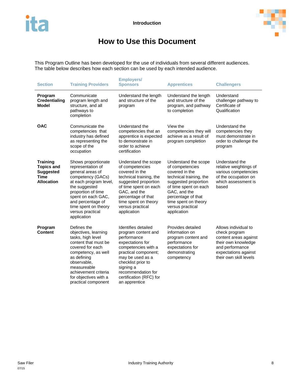

## **How to Use this Document**

<span id="page-8-0"></span>This Program Outline has been developed for the use of individuals from several different audiences. The table below describes how each section can be used by each intended audience.

| <b>Section</b>                                                                               | <b>Employers/</b><br><b>Training Providers</b><br><b>Sponsors</b>                                                                                                                                                                                        |                                                                                                                                                                                                                                                       | <b>Apprentices</b>                                                                                                                                                                                                                     | <b>Challengers</b>                                                                                                                                         |
|----------------------------------------------------------------------------------------------|----------------------------------------------------------------------------------------------------------------------------------------------------------------------------------------------------------------------------------------------------------|-------------------------------------------------------------------------------------------------------------------------------------------------------------------------------------------------------------------------------------------------------|----------------------------------------------------------------------------------------------------------------------------------------------------------------------------------------------------------------------------------------|------------------------------------------------------------------------------------------------------------------------------------------------------------|
| Program<br><b>Credentialing</b><br>Model                                                     | Communicate<br>program length and<br>structure, and all<br>pathways to<br>completion                                                                                                                                                                     | Understand the length<br>and structure of the<br>program                                                                                                                                                                                              | Understand the length<br>and structure of the<br>program, and pathway<br>to completion                                                                                                                                                 | Understand<br>challenger pathway to<br>Certificate of<br>Qualification                                                                                     |
| <b>OAC</b>                                                                                   | Communicate the<br>competencies that<br>industry has defined<br>as representing the<br>scope of the<br>occupation                                                                                                                                        | Understand the<br>competencies that an<br>apprentice is expected<br>to demonstrate in<br>order to achieve<br>certification                                                                                                                            | View the<br>competencies they will<br>achieve as a result of<br>program completion                                                                                                                                                     | Understand the<br>competencies they<br>must demonstrate in<br>order to challenge the<br>program                                                            |
| <b>Training</b><br><b>Topics and</b><br><b>Suggested</b><br><b>Time</b><br><b>Allocation</b> | Shows proportionate<br>representation of<br>general areas of<br>competency (GACs)<br>at each program level,<br>the suggested<br>proportion of time<br>spent on each GAC,<br>and percentage of<br>time spent on theory<br>versus practical<br>application | Understand the scope<br>of competencies<br>covered in the<br>technical training, the<br>suggested proportion<br>of time spent on each<br>GAC, and the<br>percentage of that<br>time spent on theory<br>versus practical<br>application                | Understand the scope<br>of competencies<br>covered in the<br>technical training, the<br>suggested proportion<br>of time spent on each<br>GAC, and the<br>percentage of that<br>time spent on theory<br>versus practical<br>application | Understand the<br>relative weightings of<br>various competencies<br>of the occupation on<br>which assessment is<br>based                                   |
| Program<br><b>Content</b>                                                                    | Defines the<br>objectives, learning<br>tasks, high level<br>content that must be<br>covered for each<br>competency, as well<br>as defining<br>observable,<br>measureable<br>achievement criteria<br>for objectives with a<br>practical component         | Identifies detailed<br>program content and<br>performance<br>expectations for<br>competencies with a<br>practical component;<br>may be used as a<br>checklist prior to<br>signing a<br>recommendation for<br>certification (RFC) for<br>an apprentice | Provides detailed<br>information on<br>program content and<br>performance<br>expectations for<br>demonstrating<br>competency                                                                                                           | Allows individual to<br>check program<br>content areas against<br>their own knowledge<br>and performance<br>expectations against<br>their own skill levels |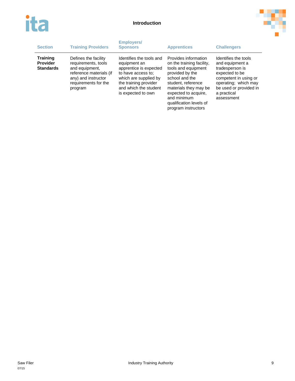



| <b>Section</b>                                         | <b>Training Providers</b>                                                                                                                          | <b>Employers/</b><br><b>Sponsors</b>                                                                                                                                                      | <b>Apprentices</b>                                                                                                                                                                                                                                    | <b>Challengers</b>                                                                                                                                                                   |
|--------------------------------------------------------|----------------------------------------------------------------------------------------------------------------------------------------------------|-------------------------------------------------------------------------------------------------------------------------------------------------------------------------------------------|-------------------------------------------------------------------------------------------------------------------------------------------------------------------------------------------------------------------------------------------------------|--------------------------------------------------------------------------------------------------------------------------------------------------------------------------------------|
| <b>Training</b><br><b>Provider</b><br><b>Standards</b> | Defines the facility<br>requirements, tools<br>and equipment,<br>reference materials (if<br>any) and instructor<br>requirements for the<br>program | Identifies the tools and<br>equipment an<br>apprentice is expected<br>to have access to:<br>which are supplied by<br>the training provider<br>and which the student<br>is expected to own | Provides information<br>on the training facility,<br>tools and equipment<br>provided by the<br>school and the<br>student, reference<br>materials they may be<br>expected to acquire.<br>and minimum<br>qualification levels of<br>program instructors | Identifies the tools<br>and equipment a<br>tradesperson is<br>expected to be<br>competent in using or<br>operating; which may<br>be used or provided in<br>a practical<br>assessment |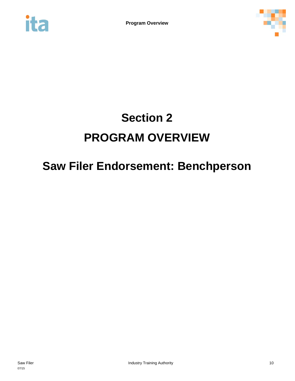<span id="page-10-0"></span>



# **Section 2 PROGRAM OVERVIEW**

# **Saw Filer Endorsement: Benchperson**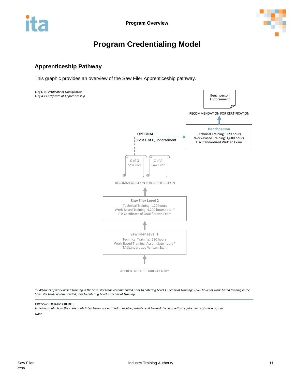

## **Program Credentialing Model**

### <span id="page-11-0"></span>**Apprenticeship Pathway**

This graphic provides an overview of the Saw Filer Apprenticeship pathway.



*\* 840 hours of work-based training in the Saw Filer trade recommended prior to entering Level 1 Technical Training; 2,520 hours of work-based training in the Saw Filer trade recommended prior to entering Level 2 Technical Training*

#### CROSS-PROGRAM CREDITS

*Individuals who hold the credentials listed below are entitled to receive partial credit toward the completion requirements of this program None*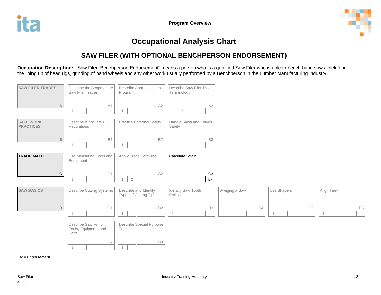

## **Occupational Analysis Chart**

## **SAW FILER (WITH OPTIONAL BENCHPERSON ENDORSEMENT)**

**Occupation Description:** "Saw Filer: Benchperson Endorsement" means a person who is a qualified Saw Filer who is able to bench band saws, including the lining up of head rigs, grinding of band wheels and any other work usually performed by a Benchperson in the Lumber Manufacturing Industry.

<span id="page-12-0"></span>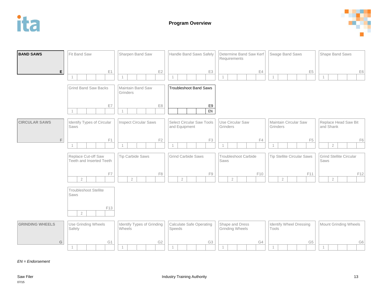



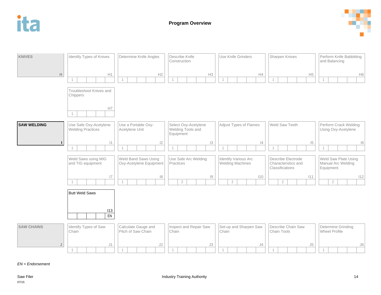



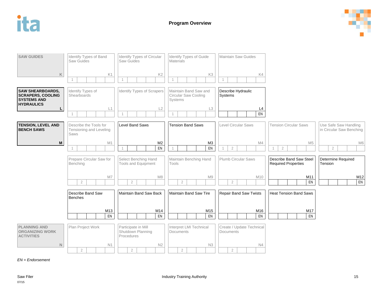

| <b>SAW GUIDES</b>                                                                                          | Identify Types of Band<br>Saw Guides                      | Identify Types of Circular<br>Saw Guides               | Identify Types of Guide<br><b>Materials</b>              | <b>Maintain Saw Guides</b>             |                                                       |                                                   |
|------------------------------------------------------------------------------------------------------------|-----------------------------------------------------------|--------------------------------------------------------|----------------------------------------------------------|----------------------------------------|-------------------------------------------------------|---------------------------------------------------|
| $\mathsf K$                                                                                                | K1                                                        | K <sub>2</sub>                                         | K <sub>3</sub>                                           | K4                                     |                                                       |                                                   |
| <b>SAW SHEARBOARDS,</b><br><b>SCRAPERS, COOLING</b><br><b>SYSTEMS AND</b>                                  | Identify Types of<br>Shearboards                          | Identify Types of Scrapers                             | Maintain Band Saw and<br>Circular Saw Cooling<br>Systems | Describe Hydraulic<br>Systems          |                                                       |                                                   |
| <b>HYDRAULICS</b><br>$\mathsf{L}$                                                                          | L1<br>$\mathbf{1}$                                        | L2                                                     | L <sub>3</sub>                                           | L <sub>4</sub><br>EN                   |                                                       |                                                   |
| <b>TENSION, LEVEL AND</b><br><b>BENCH SAWS</b>                                                             | Describe the Tools for<br>Tensioning and Leveling<br>Saws | <b>Level Band Saws</b>                                 | <b>Tension Band Saws</b>                                 | Level Circular Saws                    | <b>Tension Circular Saws</b>                          | Use Safe Saw Handling<br>in Circular Saw Benching |
| $\mathsf{M}% _{T}=\mathsf{M}_{T}\!\left( a,b\right) ,\ \mathsf{M}_{T}=\mathsf{M}_{T}\!\left( a,b\right) ,$ | M1<br>$\mathbf 1$                                         | M <sub>2</sub><br>EN                                   | M <sub>3</sub><br>EN                                     | M4<br>$\sqrt{2}$                       | M <sub>5</sub><br>$2\,$<br>$\mathbf{1}$               | M <sub>6</sub><br>$\overline{2}$                  |
|                                                                                                            | Prepare Circular Saw for<br>Benching                      | Select Benching Hand<br>Tools and Equipment            | Maintain Benching Hand<br>Tools                          | Plumb Circular Saws                    | Describe Band Saw Steel<br><b>Required Properties</b> | Determine Required<br>Tension                     |
|                                                                                                            | M7<br>$\overline{2}$                                      | M <sub>8</sub><br>$\overline{2}$                       | M9<br>$\sqrt{2}$                                         | M10<br>$\overline{2}$                  | M11<br>EN                                             | M12<br>EN                                         |
|                                                                                                            | Describe Band Saw<br><b>Benches</b>                       | Maintain Band Saw Back                                 | Maintain Band Saw Tire                                   | <b>Repair Band Saw Twists</b>          | <b>Heat Tension Band Saws</b>                         |                                                   |
|                                                                                                            | M13<br>EN                                                 | M14<br>EN                                              | M15<br>EN                                                | M16<br>EN                              | M17<br>EN                                             |                                                   |
| <b>PLANNING AND</b><br><b>ORGANIZING WORK</b><br><b>ACTIVITIES</b>                                         | Plan Project Work                                         | Participate in Mill<br>Shutdown Planning<br>Procedures | Interpret LMI Technical<br><b>Documents</b>              | Create / Update Technical<br>Documents |                                                       |                                                   |
| $\mathbb N$                                                                                                | N1                                                        | N <sub>2</sub>                                         | N3                                                       | N4                                     |                                                       |                                                   |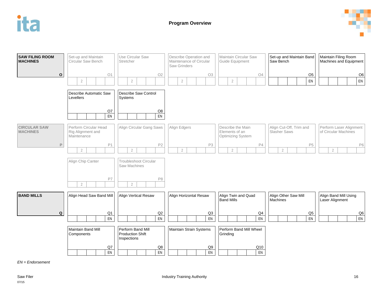



**SAW FILING ROOM MACHINES O** Set-up and Maintain Circular Saw Bench O1 Use Circular Saw **Stretcher** O2 Describe Operation and Maintenance of Circular Saw Grinders O3 Maintain Circular Saw Guide Equipment O4 Set-up and Maintain Band Saw Bench O5 Maintain Filing Room Machines and Equipment O6 2 2 2 2 EN EN Describe Automatic Saw Levellers O7<br>EN Describe Saw Control **Systems** O8 EN | | | | | EN **CIRCULAR SAW MACHINES P** Perform Circular Head Rig Alignment and **Maintenance** P1 Align Circular Gang Saws P2 Align Edgers P3 Describe the Main Elements of an Optimizing System P4 Align Cut-Off, Trim and Slasher Saws P5 Perform Laser Alignment of Circular Machines P6 2 2 2 2 2 2 Align Chip Canter P7 Troubleshoot Circular Saw Machines P8 2 | | | | | | 2 **BAND MILLS Q** Align Head Saw Band Mill  $\frac{Q1}{EN}$ Align Vertical Resaw Q2 Align Horizontal Resaw Q3 Align Twin and Quad Band Mills Q4 Align Other Saw Mill **Machines** Q5 Align Band Mill Using Laser Alignment Q6 EN EN EN EN EN EN Maintain Band Mill **Components** Q7 Perform Band Mill Production Shift Inspections Q8 Maintain Strain Systems Q9 Perform Band Mill Wheel Grinding Q10 EN EN EN EN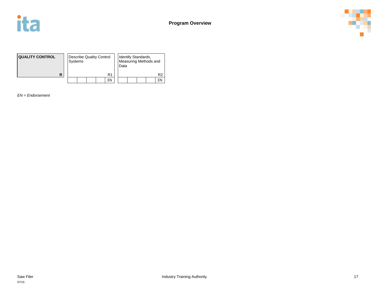



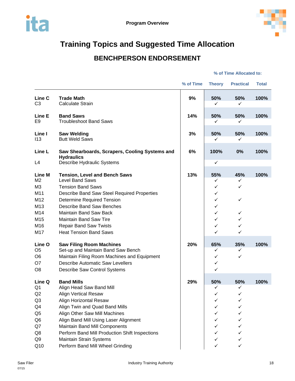

## <span id="page-18-1"></span><span id="page-18-0"></span>**Training Topics and Suggested Time Allocation**

## **BENCHPERSON ENDORSEMENT**

#### **% of Time Allocated to:**

|                |                                                                                 | % of Time | <b>Theory</b> | <b>Practical</b> | <b>Total</b> |
|----------------|---------------------------------------------------------------------------------|-----------|---------------|------------------|--------------|
| Line C         | <b>Trade Math</b>                                                               | 9%        | 50%           | 50%              | 100%         |
| C <sub>3</sub> | <b>Calculate Strain</b>                                                         |           | ✓             | ✓                |              |
| Line E         | <b>Band Saws</b>                                                                | 14%       | 50%           | 50%              | 100%         |
| E <sub>9</sub> | <b>Troubleshoot Band Saws</b>                                                   |           | ✓             | ✓                |              |
|                |                                                                                 |           |               |                  |              |
| Line I         | <b>Saw Welding</b>                                                              | 3%        | 50%           | 50%              | 100%         |
| 113            | <b>Butt Weld Saws</b>                                                           |           | ✓             | ✓                |              |
| Line L         | Saw Shearboards, Scrapers, Cooling Systems and                                  | 6%        | 100%          | 0%               | 100%         |
|                | <b>Hydraulics</b>                                                               |           |               |                  |              |
| L4             | Describe Hydraulic Systems                                                      |           | $\checkmark$  |                  |              |
| <b>Line M</b>  |                                                                                 | 13%       |               | 45%              | 100%         |
| M <sub>2</sub> | <b>Tension, Level and Bench Saws</b><br>Level Band Saws                         |           | 55%<br>✓      | ✓                |              |
| M3             | <b>Tension Band Saws</b>                                                        |           | ✓             | $\checkmark$     |              |
| M11            | Describe Band Saw Steel Required Properties                                     |           | ✓             |                  |              |
| M12            | <b>Determine Required Tension</b>                                               |           | ✓             | $\checkmark$     |              |
| M13            | <b>Describe Band Saw Benches</b>                                                |           | ✓             |                  |              |
| M14            | Maintain Band Saw Back                                                          |           | $\checkmark$  | ✓                |              |
| M15            | <b>Maintain Band Saw Tire</b>                                                   |           | ✓             | ✓                |              |
| M16            | <b>Repair Band Saw Twists</b>                                                   |           | ✓             | $\checkmark$     |              |
| M17            | <b>Heat Tension Band Saws</b>                                                   |           | ✓             | $\checkmark$     |              |
| Line O         |                                                                                 | 20%       | 65%           | 35%              | 100%         |
| O <sub>5</sub> | <b>Saw Filing Room Machines</b><br>Set-up and Maintain Band Saw Bench           |           | ✓             | ✓                |              |
| O <sub>6</sub> | Maintain Filing Room Machines and Equipment                                     |           | ✓             | ✓                |              |
| O <sub>7</sub> | <b>Describe Automatic Saw Levellers</b>                                         |           | ✓             |                  |              |
| O <sub>8</sub> | Describe Saw Control Systems                                                    |           | ✓             |                  |              |
|                |                                                                                 |           |               |                  |              |
| Line Q         | <b>Band Mills</b>                                                               | 29%       | 50%           | 50%              | 100%         |
| Q1             | Align Head Saw Band Mill                                                        |           | ✓             | ✓                |              |
| Q2             | <b>Align Vertical Resaw</b>                                                     |           | ✓             | $\checkmark$     |              |
| Q <sub>3</sub> | Align Horizontal Resaw                                                          |           |               |                  |              |
| Q4             | Align Twin and Quad Band Mills                                                  |           |               |                  |              |
| Q <sub>5</sub> | Align Other Saw Mill Machines                                                   |           |               | ✓                |              |
| Q <sub>6</sub> | Align Band Mill Using Laser Alignment                                           |           |               | ✓                |              |
| Q7<br>Q8       | Maintain Band Mill Components<br>Perform Band Mill Production Shift Inspections |           | ✓<br>✓        | ✓<br>✓           |              |
| Q9             | <b>Maintain Strain Systems</b>                                                  |           | ✓             | ✓                |              |
| Q10            | Perform Band Mill Wheel Grinding                                                |           |               | ✓                |              |
|                |                                                                                 |           |               |                  |              |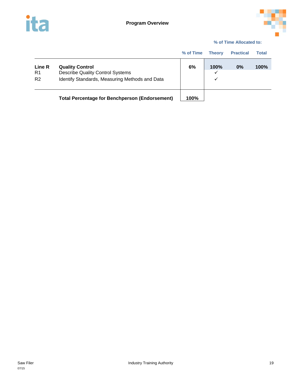



#### **% of Time Allocated to:**

|                                |                                                                                                                     | % of Time | <b>Theory</b>  | <b>Practical</b> | Total |
|--------------------------------|---------------------------------------------------------------------------------------------------------------------|-----------|----------------|------------------|-------|
| Line R<br>R1<br>R <sub>2</sub> | <b>Quality Control</b><br><b>Describe Quality Control Systems</b><br>Identify Standards, Measuring Methods and Data | 6%        | 100%<br>✓<br>✓ | 0%               | 100%  |
|                                | <b>Total Percentage for Benchperson (Endorsement)</b>                                                               | 100%      |                |                  |       |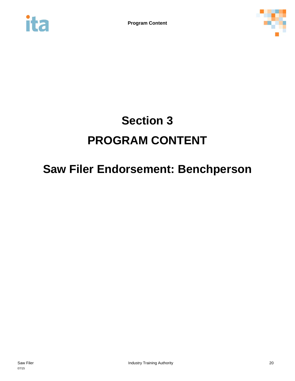<span id="page-20-1"></span><span id="page-20-0"></span>



# **Section 3 PROGRAM CONTENT**

# **Saw Filer Endorsement: Benchperson**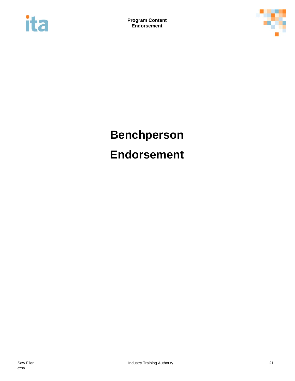



# <span id="page-21-0"></span>**Benchperson Endorsement**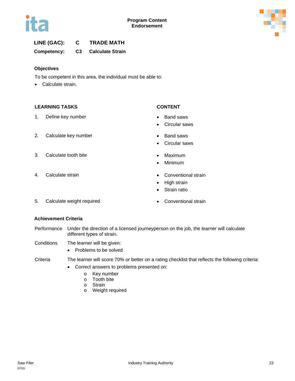



#### **LINE (GAC): C TRADE MATH**

**Competency: C3 Calculate Strain**

#### **Objectives**

To be competent in this area, the individual must be able to:

• Calculate strain.

#### **LEARNING TASKS CONTENT**

1. Define key number **• Band saws** 

- 
- Circular saws
- 2. Calculate key number **•** Band saws
	- Circular saws
- 3. Calculate tooth bite **•** Maximum
	- Minimum
- 4. Calculate strain **•** Conventional strain
	- High strain
	- Strain ratio
- 5. Calculate weight required **•** Conventional strain
	-

#### **Achievement Criteria**

- Performance Under the direction of a licensed journeyperson on the job, the learner will calculate different types of strain.
- Conditions The learner will be given:
	- Problems to be solved

#### Criteria The learner will score 70% or better on a rating checklist that reflects the following criteria:

- Correct answers to problems presented on:
	- o Key number
	- o Tooth bite
	- o Strain
	- o Weight required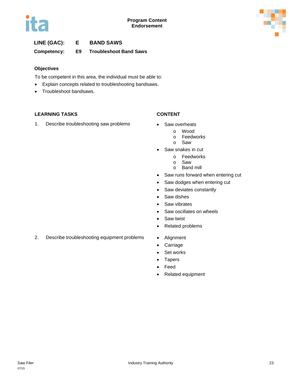

### **LINE (GAC): E BAND SAWS**

#### **Competency: E9 Troubleshoot Band Saws**

#### **Objectives**

To be competent in this area, the individual must be able to:

- Explain concepts related to troubleshooting bandsaws.
- Troubleshoot bandsaws.

#### **LEARNING TASKS CONTENT**

1. Describe troubleshooting saw problems • Saw overheats

- - o Wood
		- o Feedworks<br>o Saw
	- Saw
- Saw snakes in cut
	- o Feedworks
	- Saw
	- o Band mill
- Saw runs forward when entering cut
- Saw dodges when entering cut
- Saw deviates constantly
- Saw dishes
- Saw vibrates
- Saw oscillates on wheels
- Saw twist
- Related problems
- 2. Describe troubleshooting equipment problems Alignment
	-
	- Carriage • Set works
	- Tapers
	- Feed
	- Related equipment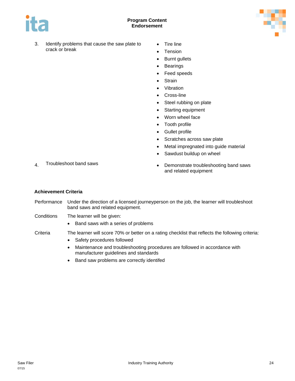

#### **Program Content Endorsement**



- 3. Identify problems that cause the saw plate to crack or break
- Tire line
- Tension
- Burnt gullets
- Bearings
- Feed speeds
- Strain
- Vibration
- Cross-line
- Steel rubbing on plate
- Starting equipment
- Worn wheel face
- Tooth profile
- Gullet profile
- Scratches across saw plate
- Metal impregnated into guide material
- Sawdust buildup on wheel

- 
- 4. Troubleshoot band saws **•** Demonstrate troubleshooting band saws and related equipment

#### **Achievement Criteria**

- Performance Under the direction of a licensed journeyperson on the job, the learner will troubleshoot band saws and related equipment.
- Conditions The learner will be given:
	- Band saws with a series of problems

#### Criteria The learner will score 70% or better on a rating checklist that reflects the following criteria:

- Safety procedures followed
- Maintenance and troubleshooting procedures are followed in accordance with manufacturer guidelines and standards
- Band saw problems are correctly identifed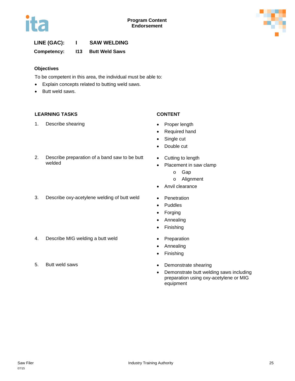



### **LINE (GAC): I SAW WELDING**

**Competency: I13 Butt Weld Saws**

#### **Objectives**

To be competent in this area, the individual must be able to:

- Explain concepts related to butting weld saws.
- Butt weld saws.

#### **LEARNING TASKS CONTENT**

1. Describe shearing example of the Proper length

- 
- Required hand

• Cutting to length

• Anvil clearance

• Placement in saw clamp o Gap o Alignment

- Single cut
- Double cut
- 2. Describe preparation of a band saw to be butt welded
- 3. Describe oxy-acetylene welding of butt weld Penetration
	- Puddles
	- Forging
	- Annealing
	- Finishing
	-
	- Annealing
	- Finishing
- 5. Butt weld saws **•** Demonstrate shearing
	- Demonstrate butt welding saws including preparation using oxy-acetylene or MIG equipment
- 4. Describe MIG welding a butt weld **•** Preparation
-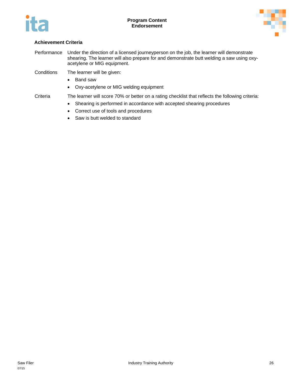



#### **Achievement Criteria**

- Performance Under the direction of a licensed journeyperson on the job, the learner will demonstrate shearing. The learner will also prepare for and demonstrate butt welding a saw using oxyacetylene or MIG equipment.
- Conditions The learner will be given:
	- Band saw
	- Oxy-acetylene or MIG welding equipment

#### Criteria The learner will score 70% or better on a rating checklist that reflects the following criteria:

- Shearing is performed in accordance with accepted shearing procedures
- Correct use of tools and procedures
- Saw is butt welded to standard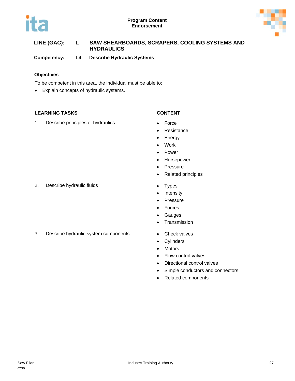



### **LINE (GAC): L SAW SHEARBOARDS, SCRAPERS, COOLING SYSTEMS AND HYDRAULICS**

**Competency: L4 Describe Hydraulic Systems**

#### **Objectives**

To be competent in this area, the individual must be able to:

• Explain concepts of hydraulic systems.

#### **LEARNING TASKS CONTENT**

1. Describe principles of hydraulics **•** Force

- 
- Resistance
- Energy
- Work
- Power
- Horsepower
- Pressure
- Related principles
- 
- Intensity
- Pressure
- Forces
- Gauges
- Transmission
- 
- Cylinders
- Motors
- Flow control valves
- Directional control valves
- Simple conductors and connectors
- Related components

2. Describe hydraulic fluids **•** Types

3. Describe hydraulic system components • Check valves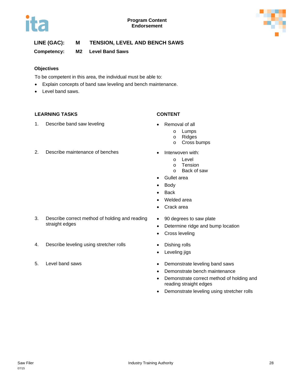



**Competency: M2 Level Band Saws**

#### **Objectives**

To be competent in this area, the individual must be able to:

- Explain concepts of band saw leveling and bench maintenance.
- Level band saws.

#### **LEARNING TASKS CONTENT**

straight edges

1. Describe band saw leveling example and  $\bullet$  Removal of all

- - o Lumps
		- o Ridges
		- o Cross bumps
- -
	- o Level<br>o Tensi **Tension**
	- o Back of saw
	- Gullet area
	- Body
	- Back
	- Welded area
	- Crack area
	- 90 degrees to saw plate
		- Determine ridge and bump location
		- Cross leveling
- 4. Describe leveling using stretcher rolls **•** Dishing rolls
	- Leveling jigs
- 5. Level band saws  **Demonstrate leveling band saws** 
	- Demonstrate bench maintenance
	- Demonstrate correct method of holding and reading straight edges
	- Demonstrate leveling using stretcher rolls

2. Describe maintenance of benches • Interwoven with:

3. Describe correct method of holding and reading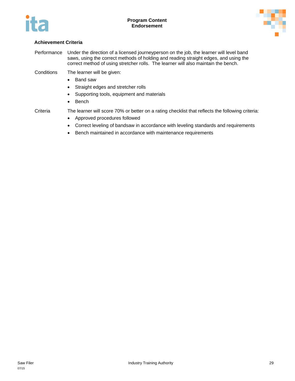



#### **Achievement Criteria**

Performance Under the direction of a licensed journeyperson on the job, the learner will level band saws, using the correct methods of holding and reading straight edges, and using the correct method of using stretcher rolls. The learner will also maintain the bench.

Conditions The learner will be given:

- Band saw
- Straight edges and stretcher rolls
- Supporting tools, equipment and materials
- Bench

- Criteria The learner will score 70% or better on a rating checklist that reflects the following criteria:
	- Approved procedures followed
	- Correct leveling of bandsaw in accordance with leveling standards and requirements
	- Bench maintained in accordance with maintenance requirements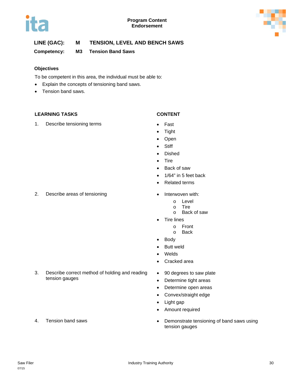



#### **Competency: M3 Tension Band Saws**

#### **Objectives**

To be competent in this area, the individual must be able to:

- Explain the concepts of tensioning band saws.
- Tension band saws.

#### **LEARNING TASKS CONTENT**

#### 1. Describe tensioning terms **•** Fast

- 
- Tight
- Open
- Stiff
- Dished
- Tire
- Back of saw
- 1/64" in 5 feet back
- Related terms
- 2. Describe areas of tensioning **•** Interwoven with:
	- o Level
	- o Tire
	- o Back of saw
	- Tire lines
		- o Front
		- o Back
	- Body
	- Butt weld
	- Welds
	- Cracked area
	- 90 degrees to saw plate
	- Determine tight areas
	- Determine open areas
	- Convex/straight edge
	- Light gap
	- Amount required
- 4. Tension band saws **Fig. 2018 Demonstrate tensioning of band saws using 6** tension gauges
- 

tension gauges

3. Describe correct method of holding and reading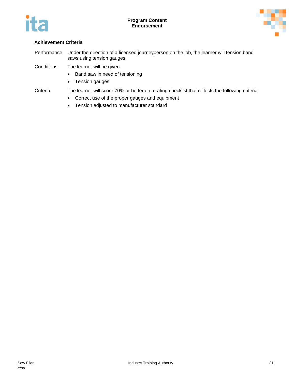



#### **Achievement Criteria**

- Performance Under the direction of a licensed journeyperson on the job, the learner will tension band saws using tension gauges.
- Conditions The learner will be given:
	- Band saw in need of tensioning
	- Tension gauges
- Criteria The learner will score 70% or better on a rating checklist that reflects the following criteria:
	- Correct use of the proper gauges and equipment
	- Tension adjusted to manufacturer standard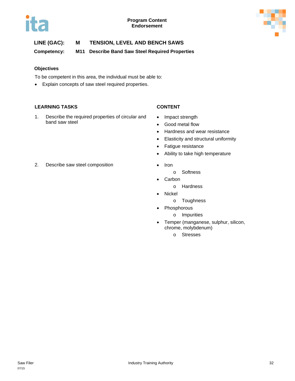



**Competency: M11 Describe Band Saw Steel Required Properties**

#### **Objectives**

To be competent in this area, the individual must be able to:

• Explain concepts of saw steel required properties.

#### **LEARNING TASKS CONTENT**

1. Describe the required properties of circular and band saw steel

- Impact strength
- Good metal flow
- Hardness and wear resistance
- Elasticity and structural uniformity
- Fatigue resistance
- Ability to take high temperature
- - o Softness
- Carbon
	- o Hardness
- Nickel
	- o Toughness
- **Phosphorous** 
	- o Impurities
- Temper (manganese, sulphur, silicon, chrome, molybdenum)
	- o Stresses

2. Describe saw steel composition • Iron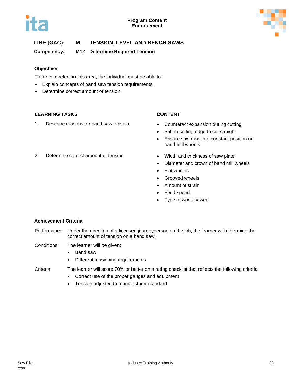



**Competency: M12 Determine Required Tension**

#### **Objectives**

To be competent in this area, the individual must be able to:

- Explain concepts of band saw tension requirements.
- Determine correct amount of tension.

#### **LEARNING TASKS CONTENT**

1. Describe reasons for band saw tension • Counteract expansion during cutting

- 
- Stiffen cutting edge to cut straight
- Ensure saw runs in a constant position on band mill wheels.
- 2. Determine correct amount of tension Width and thickness of saw plate
	- Diameter and crown of band mill wheels
	- Flat wheels
	- Grooved wheels
	- Amount of strain
	- Feed speed
	- Type of wood sawed

#### **Achievement Criteria**

- Performance Under the direction of a licensed journeyperson on the job, the learner will determine the correct amount of tension on a band saw.
- Conditions The learner will be given:
	- Band saw
	- Different tensioning requirements
- Criteria The learner will score 70% or better on a rating checklist that reflects the following criteria:
	- Correct use of the proper gauges and equipment
	- Tension adjusted to manufacturer standard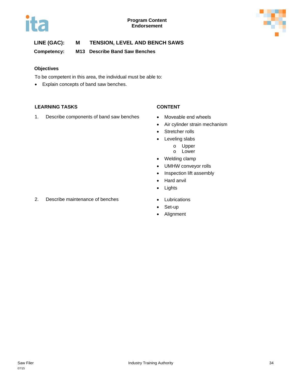



**Competency: M13 Describe Band Saw Benches**

#### **Objectives**

To be competent in this area, the individual must be able to:

• Explain concepts of band saw benches.

#### **LEARNING TASKS CONTENT**

1. Describe components of band saw benches • Moveable end wheels

- 
- Air cylinder strain mechanism
- Stretcher rolls
- Leveling slabs
	- o Upper
	- o Lower
- Welding clamp
- UMHW conveyor rolls
- Inspection lift assembly
- Hard anvil
- Lights
- 2. Describe maintenance of benches Lubrications
	- Set-up
	- Alignment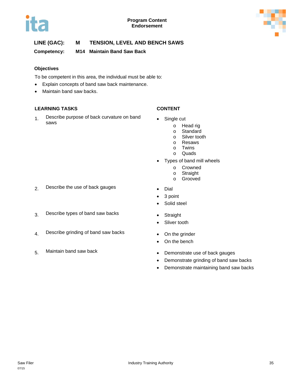



**Competency: M14 Maintain Band Saw Back**

#### **Objectives**

To be competent in this area, the individual must be able to:

- Explain concepts of band saw back maintenance.
- Maintain band saw backs.

#### **LEARNING TASKS CONTENT**

1. Describe purpose of back curvature on band values all same single cut<br>11

- - o Head rig
	- o Standard
	- o Silver tooth<br>o Resaws
	- **Resaws**
	- o Twins
	- o Quads
- Types of band mill wheels
	- o Crowned
	- o Straight
	- o Grooved
- 
- 3 point
- Solid steel
- 
- Sliver tooth
- 
- On the bench
- 5. Maintain band saw back **•** Demonstrate use of back gauges
	- Demonstrate grinding of band saw backs
	- Demonstrate maintaining band saw backs
- 2. Describe the use of back gauges Dial
- 3. Describe types of band saw backs Straight
- 4. Describe grinding of band saw backs On the grinder
-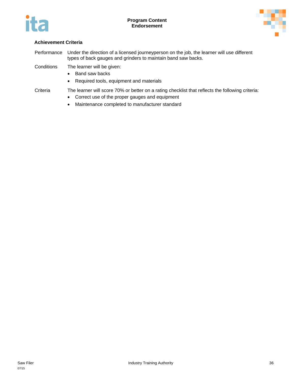



Performance Under the direction of a licensed journeyperson on the job, the learner will use different types of back gauges and grinders to maintain band saw backs.

Conditions The learner will be given:

- Band saw backs
- Required tools, equipment and materials

- Correct use of the proper gauges and equipment
- Maintenance completed to manufacturer standard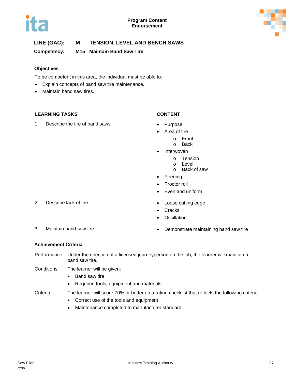

### **LINE (GAC): M TENSION, LEVEL AND BENCH SAWS**

**Competency: M15 Maintain Band Saw Tire**

### **Objectives**

To be competent in this area, the individual must be able to:

- Explain concepts of band saw tire maintenance.
- Maintain band saw tires.

### **LEARNING TASKS CONTENT**

1. Describe the tire of band saws • Purpose

- 
- Area of tire
	- o Front
		- o Back
- Interwoven
	- o Tension
	- o Level
	- o Back of saw
- Peening
- Proctor roll
- Even and uniform
- 
- Cracks
- **Oscillation**

- 
- 3. Maintain band saw tire  **Demonstrate maintaining band saw tire**

### **Achievement Criteria**

- Performance Under the direction of a licensed journeyperson on the job, the learner will maintain a band saw tire.
- Conditions The learner will be given:
	- Band saw tire
	- Required tools, equipment and materials

Criteria The learner will score 70% or better on a rating checklist that reflects the following criteria:

- Correct use of the tools and equipment
- Maintenance completed to manufacturer standard

2. Describe lack of tire **•** Loose cutting edge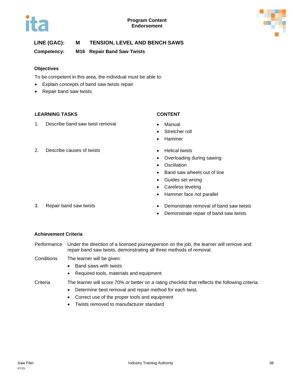



### **LINE (GAC): M TENSION, LEVEL AND BENCH SAWS**

**Competency: M16 Repair Band Saw Twists**

### **Objectives**

To be competent in this area, the individual must be able to:

- Explain concepts of band saw twists repair.
- Repair band saw twists.

### **LEARNING TASKS CONTENT**

1. Describe band saw twist removal • Manual

- 
- Stretcher roll
- Hammer
- 2. Describe causes of twists **•** Helical twists
	- Overloading during sawing
	- Oscillation
	- Band saw wheels out of line
	- Guides set wrong
	- Careless leveling
	- Hammer face not parallel
- 3. Repair band saw twists Demonstrate removal of band saw twists
	- Demonstrate repair of band saw twists

### **Achievement Criteria**

- Performance Under the direction of a licensed journeyperson on the job, the learner will remove and repair band saw twists, demonstrating all three methods of removal.
- Conditions The learner will be given:
	- Band saws with twists
	- Required tools, materials and equipment
- Criteria The learner will score 70% or better on a rating checklist that reflects the following criteria:
	- Determine best removal and repair method for each twist.
	- Correct use of the proper tools and equipment
	- Twists removed to manufacturer standard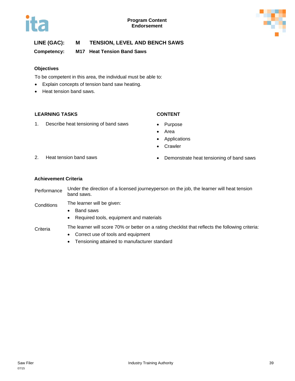



### **LINE (GAC): M TENSION, LEVEL AND BENCH SAWS**

**Competency: M17 Heat Tension Band Saws**

### **Objectives**

To be competent in this area, the individual must be able to:

- Explain concepts of tension band saw heating.
- Heat tension band saws.

### **LEARNING TASKS CONTENT**

1. Describe heat tensioning of band saws • Purpose

- 
- Area
- Applications
- Crawler

- 
- 2. Heat tension band saws  **Demonstrate heat tensioning of band saws**

### **Achievement Criteria**

- Performance Under the direction of a licensed journeyperson on the job, the learner will heat tension band saws.
- Conditions The learner will be given:
	- Band saws
	- Required tools, equipment and materials

- Correct use of tools and equipment
- Tensioning attained to manufacturer standard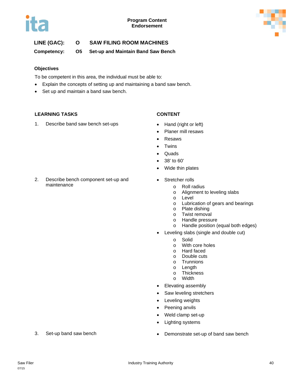



### **LINE (GAC): O SAW FILING ROOM MACHINES**

**Competency: O5 Set-up and Maintain Band Saw Bench**

### **Objectives**

To be competent in this area, the individual must be able to:

- Explain the concepts of setting up and maintaining a band saw bench.
- Set up and maintain a band saw bench.

### **LEARNING TASKS CONTENT**

maintenance

1. Describe band saw bench set-ups • Hand (right or left)

2. Describe bench component set-up and

- 
- Planer mill resaws
- Resaws
- Twins
- Quads
- 38' to 60'
- Wide thin plates
- Stretcher rolls
	- o Roll radius
	- o Alignment to leveling slabs
	- o Level
	- o Lubrication of gears and bearings
	- o Plate dishing
	- o Twist removal
	- o Handle pressure
	- o Handle position (equal both edges)
- Leveling slabs (single and double cut)
	- o Solid
	- o With core holes
	- o Hard faced
	- o Double cuts
	- o Trunnions
	- o Length<br>o Thickne
	- o Thickness<br>o Width
	- Width
- Elevating assembly
- Saw leveling stretchers
- Leveling weights
- Peening anvils
- Weld clamp set-up
- Lighting systems
- 3. Set-up band saw bench Demonstrate set-up of band saw bench
-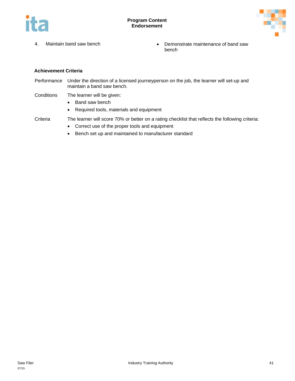



- 
- 4. Maintain band saw bench **•** Demonstrate maintenance of band saw bench

Performance Under the direction of a licensed journeyperson on the job, the learner will set-up and maintain a band saw bench.

- Conditions The learner will be given:
	- Band saw bench
	- Required tools, materials and equipment

- Correct use of the proper tools and equipment
- Bench set up and maintained to manufacturer standard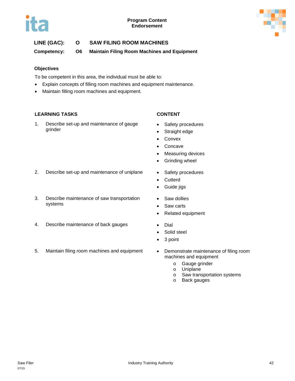



### **LINE (GAC): O SAW FILING ROOM MACHINES**

**Competency: O6 Maintain Filing Room Machines and Equipment**

### **Objectives**

To be competent in this area, the individual must be able to:

- Explain concepts of filling room machines and equipment maintenance.
- Maintain filling room machines and equipment.

### **LEARNING TASKS CONTENT**

1. Describe set-up and maintenance of gauge grinder

- Safety procedures
- Straight edge
- Convex
- Concave
- Measuring devices
- Grinding wheel
- 2. Describe set-up and maintenance of uniplane Safety procedures
- 3. Describe maintenance of saw transportation systems
- 4. Describe maintenance of back gauges Dial
- 5. Maintain filing room machines and equipment Demonstrate maintenance of filing room
- 
- Cutterd
- Guide jigs
- Saw dollies
- Saw carts
- Related equipment
- 
- Solid steel
- 3 point
- machines and equipment
	- o Gauge grinder
	- o Uniplane
	- o Saw transportation systems o Back gauges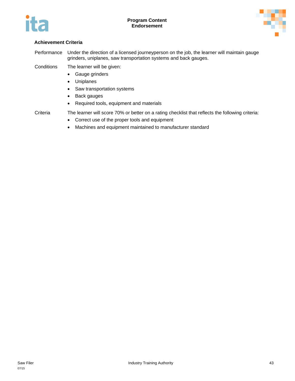



Performance Under the direction of a licensed journeyperson on the job, the learner will maintain gauge grinders, uniplanes, saw transportation systems and back gauges.

Conditions The learner will be given:

- Gauge grinders
- Uniplanes
- Saw transportation systems
- Back gauges
- Required tools, equipment and materials

- Correct use of the proper tools and equipment
- Machines and equipment maintained to manufacturer standard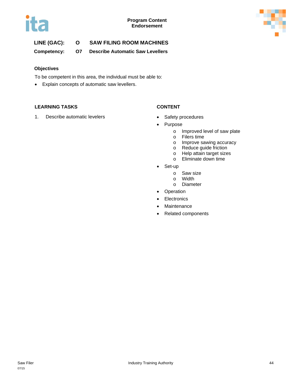



### **LINE (GAC): O SAW FILING ROOM MACHINES**

**Competency: O7 Describe Automatic Saw Levellers**

### **Objectives**

To be competent in this area, the individual must be able to:

• Explain concepts of automatic saw levellers.

### **LEARNING TASKS CONTENT**

1. Describe automatic levelers **•** Safety procedures

- 
- **Purpose** 
	- o Improved level of saw plate
	- o Filers time
	- o Improve sawing accuracy
	- o Reduce guide friction
	- o Help attain target sizes
	- o Eliminate down time
- Set-up
	- o Saw size
	- o Width
	- o Diameter
- Operation
- Electronics
- Maintenance
- Related components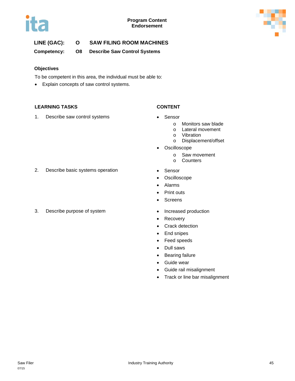



### **LINE (GAC): O SAW FILING ROOM MACHINES**

**Competency: O8 Describe Saw Control Systems**

### **Objectives**

To be competent in this area, the individual must be able to:

• Explain concepts of saw control systems.

### **LEARNING TASKS CONTENT**

1. Describe saw control systems • Sensor

- - o Monitors saw blade
	- o Lateral movement
	- o Vibration
	- o Displacement/offset
- Oscilloscope
	- o Saw movement
	- o Counters
- 
- **Oscilloscope**
- Alarms
- Print outs
- Screens
- 
- Recovery
- Crack detection
- End snipes
- Feed speeds
- Dull saws
- Bearing failure
- Guide wear
- Guide rail misalignment
- Track or line bar misalignment
- 2. Describe basic systems operation Sensor
- 3. Describe purpose of system  $\bullet$  Increased production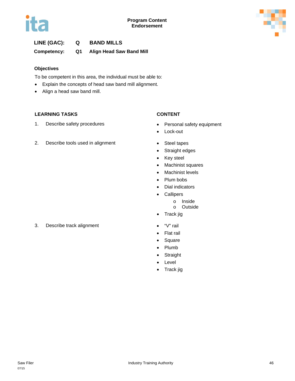

### **Competency: Q1 Align Head Saw Band Mill**

### **Objectives**

To be competent in this area, the individual must be able to:

- Explain the concepts of head saw band mill alignment.
- Align a head saw band mill.

### **LEARNING TASKS CONTENT**

1. Describe safety procedures **•** Personal safety equipment

### 2. Describe tools used in alignment • Steel tapes

- 
- Lock-out
- 
- Straight edges
- Key steel
- Machinist squares
- Machinist levels
- Plum bobs
- Dial indicators
- Callipers
	- o Inside
	- o Outside
- Track jig
- 
- Flat rail
- Square
- Plumb
- Straight
- Level
- Track jig

### 3. Describe track alignment • "V" rail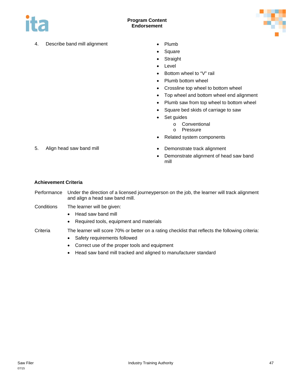



- 4. Describe band mill alignment Plumb
	-
	- Square
	- Straight
	- Level
	- Bottom wheel to "V" rail
	- Plumb bottom wheel
	- Crossline top wheel to bottom wheel
	- Top wheel and bottom wheel end alignment
	- Plumb saw from top wheel to bottom wheel
	- Square bed skids of carriage to saw
	- Set guides
		- o Conventional
		- o Pressure
	- Related system components
- 5. Align head saw band mill **Example 20** 12 **and 13** be Demonstrate track alignment
	- Demonstrate alignment of head saw band mill

- Performance Under the direction of a licensed journeyperson on the job, the learner will track alignment and align a head saw band mill.
- Conditions The learner will be given:
	- Head saw band mill
	- Required tools, equipment and materials
- Criteria The learner will score 70% or better on a rating checklist that reflects the following criteria:
	- Safety requirements followed
	- Correct use of the proper tools and equipment
	- Head saw band mill tracked and aligned to manufacturer standard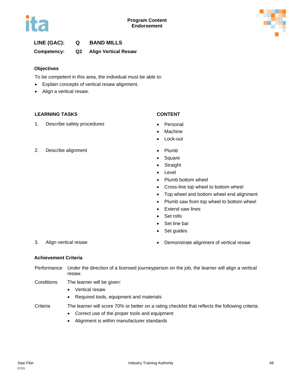

**Competency: Q2 Align Vertical Resaw**

### **Objectives**

To be competent in this area, the individual must be able to:

- Explain concepts of vertical resaw alignment.
- Align a vertical resaw.

### **LEARNING TASKS CONTENT**

1. Describe safety procedures • Personal

- 
- **Machine**
- Lock-out
- 2. Describe alignment Plumb
	- Square
	- Straight
	- **Level**
	- Plumb bottom wheel
	- Cross-line top wheel to bottom wheel
	- Top wheel and bottom wheel end alignment
	- Plumb saw from top wheel to bottom wheel
	- Extend saw lines
	- Set rolls
	- Set line bar
	- Set quides

- 
- 3. Align vertical resaw **•** Demonstrate alignment of vertical resaw

### **Achievement Criteria**

Performance Under the direction of a licensed journeyperson on the job, the learner will align a vertical resaw.

- Conditions The learner will be given:
	- Vertical resaw
	- Required tools, equipment and materials

- Correct use of the proper tools and equipment
- Alignment is within manufacturer standards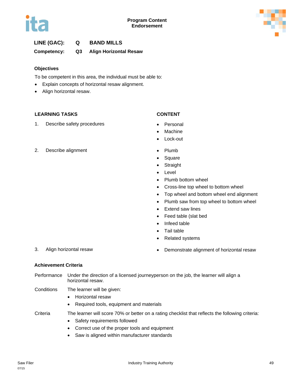

### **Competency: Q3 Align Horizontal Resaw**

### **Objectives**

To be competent in this area, the individual must be able to:

- Explain concepts of horizontal resaw alignment.
- Align horizontal resaw.

### **LEARNING TASKS CONTENT**

1. Describe safety procedures **•** Personal

- 
- **Machine**
- Lock-out
- 2. Describe alignment Plumb
	- Square
	- **Straight**
	- **Level**
	- Plumb bottom wheel
	- Cross-line top wheel to bottom wheel
	- Top wheel and bottom wheel end alignment
	- Plumb saw from top wheel to bottom wheel
	- Extend saw lines
	- Feed table (slat bed
	- Infeed table
	- Tail table
	- Related systems
- 3. Align horizontal resaw example and the Demonstrate alignment of horizontal resaw

### **Achievement Criteria**

- Performance Under the direction of a licensed journeyperson on the job, the learner will align a horizontal resaw.
- Conditions The learner will be given:
	- Horizontal resaw
	- Required tools, equipment and materials

- Safety requirements followed
- Correct use of the proper tools and equipment
- Saw is aligned within manufacturer standards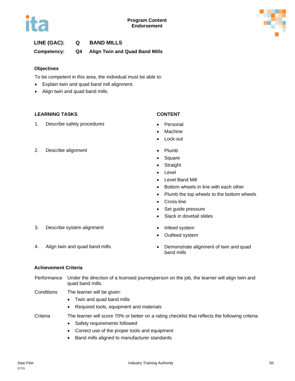**Competency: Q4 Align Twin and Quad Band Mills**

### **Objectives**

To be competent in this area, the individual must be able to:

- Explain twin and quad band mill alignment.
- Align twin and quad band mills.

### **LEARNING TASKS CONTENT**

1. Describe safety procedures **•** Personal

- 
- **Machine**
- Lock-out
- 2. Describe alignment Plumb
	- Square
	- **Straight**
	- **Level**
	- Level Band Mill
	- Bottom wheels in line with each other
	- Plumb the top wheels to the bottom wheels
	- Cross-line
	- Set guide pressure
	- Slack in dovetail slides
- 3. Describe system alignment **•** Infeed system
	-
	- Outfeed system

- 
- 4. Align twin and quad band mills **•** Demonstrate alignment of twin and quad band mills

### **Achievement Criteria**

- Performance Under the direction of a licensed journeyperson on the job, the learner will align twin and quad band mills.
- Conditions The learner will be given:
	- Twin and quad band mills
	- Required tools, equipment and materials

- Safety requirements followed
- Correct use of the proper tools and equipment
- Band mills aligned to manufacturer standards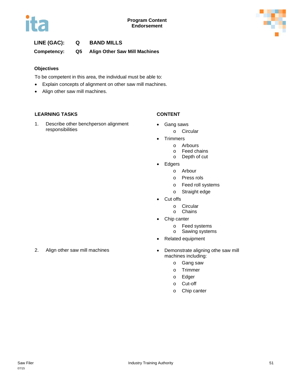

### **LINE (GAC): Q BAND MILLS Competency: Q5 Align Other Saw Mill Machines**

### **Objectives**

To be competent in this area, the individual must be able to:

- Explain concepts of alignment on other saw mill machines.
- Align other saw mill machines.

### **LEARNING TASKS CONTENT**

1. Describe other benchperson alignment responsibilities

- Gang saws
	- o Circular
- Trimmers
	- o Arbours
	- o Feed chains
	- o Depth of cut
- Edgers
	- o Arbour
	- o Press rols
	- o Feed roll systems
	- o Straight edge
- Cut offs
	- o Circular
	- o Chains
- Chip canter
	- o Feed systems
	- o Sawing systems
- Related equipment
- 2. Align other saw mill machines **•** Demonstrate aligning othe saw mill machines including:
	- o Gang saw
	- o Trimmer
	- o Edger
	- o Cut-off
	- o Chip canter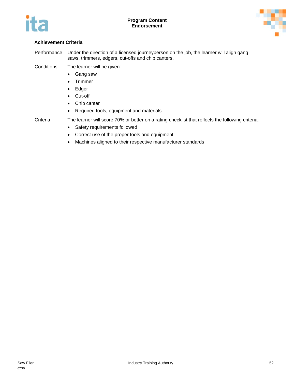



Performance Under the direction of a licensed journeyperson on the job, the learner will align gang saws, trimmers, edgers, cut-offs and chip canters.

Conditions The learner will be given:

- Gang saw
- Trimmer
- Edger
- Cut-off
- Chip canter
- Required tools, equipment and materials

- Criteria The learner will score 70% or better on a rating checklist that reflects the following criteria:
	- Safety requirements followed
	- Correct use of the proper tools and equipment
	- Machines aligned to their respective manufacturer standards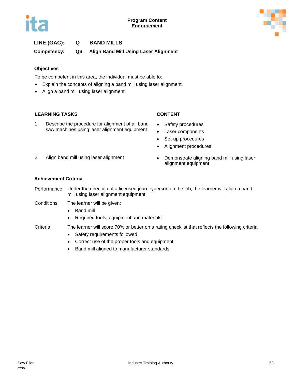### **LINE (GAC): Q BAND MILLS Competency: Q6 Align Band Mill Using Laser Alignment**

### **Objectives**

To be competent in this area, the individual must be able to:

- Explain the concepts of aligning a band mill using laser alignment.
- Align a band mill using laser alignment.

### **LEARNING TASKS CONTENT**

1. Describe the procedure for alignment of all band saw machines using laser alignment equipment

- Safety procedures
- Laser components
- Set-up procedures
- Alignment procedures
- 
- 2. Align band mill using laser alignment Demonstrate aligning band mill using laser alignment equipment

### **Achievement Criteria**

- Performance Under the direction of a licensed journeyperson on the job, the learner will align a band mill using laser alignment equipment.
- Conditions The learner will be given:
	- Band mill
	- Required tools, equipment and materials

- Safety requirements followed
- Correct use of the proper tools and equipment
- Band mill aligned to manufacturer standards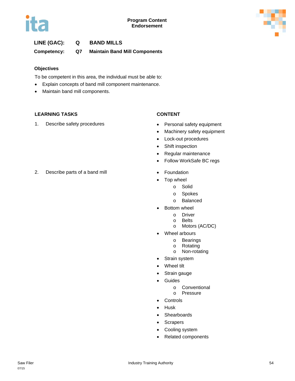

### **LINE (GAC): Q BAND MILLS Competency: Q7 Maintain Band Mill Components**

### **Objectives**

To be competent in this area, the individual must be able to:

- Explain concepts of band mill component maintenance.
- Maintain band mill components.

### **LEARNING TASKS CONTENT**

1. Describe safety procedures **•** Personal safety equipment

- 
- Machinery safety equipment
- Lock-out procedures
- Shift inspection
- Regular maintenance
- Follow WorkSafe BC regs
- 
- Top wheel
	- o Solid
	- o Spokes
	- o Balanced
	- Bottom wheel
		- o Driver
		- o Belts
		- o Motors (AC/DC)
- Wheel arbours
	- o Bearings
	- o Rotating
	- o Non-rotating
- Strain system
- Wheel tilt
- Strain gauge
- Guides
	- o Conventional
	- o Pressure
- Controls
- Husk
- Shearboards
- Scrapers
- Cooling system
- Related components

2. Describe parts of a band mill • Foundation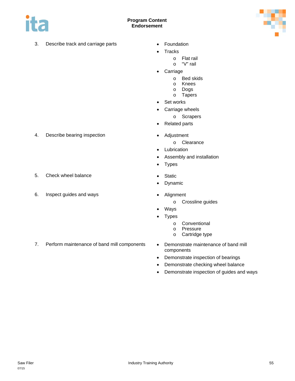

### **Program Content Endorsement**

3. Describe track and carriage parts • Foundation



- 
- Tracks
	- o Flat rail
		- o "V" rail
- Carriage
	- o Bed skids
	- o Knees
	- o Dogs
	- o Tapers
- Set works
- Carriage wheels
	- o Scrapers
- Related parts
- 4. Describe bearing inspection **•** Adjustment
	- o Clearance
	- Lubrication
	- Assembly and installation
	- Types
- 5. Check wheel balance **•** Static
	- Dynamic
- 6. Inspect guides and ways Alignment
	- o Crossline guides
	- Ways
	- **Types** 
		- o Conventional
		- o Pressure
		- o Cartridge type
- 7. Perform maintenance of band mill components Demonstrate maintenance of band mill
	- components
	- Demonstrate inspection of bearings
	- Demonstrate checking wheel balance
	- Demonstrate inspection of guides and ways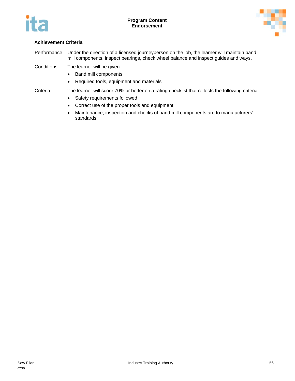



Performance Under the direction of a licensed journeyperson on the job, the learner will maintain band mill components, inspect bearings, check wheel balance and inspect guides and ways.

Conditions The learner will be given:

- Band mill components
- Required tools, equipment and materials

- Safety requirements followed
- Correct use of the proper tools and equipment
- Maintenance, inspection and checks of band mill components are to manufacturers' standards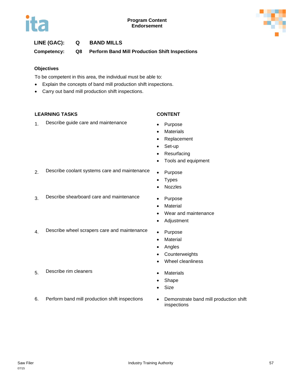

**Competency: Q8 Perform Band Mill Production Shift Inspections**

### **Objectives**

To be competent in this area, the individual must be able to:

- Explain the concepts of band mill production shift inspections.
- Carry out band mill production shift inspections.

### **LEARNING TASKS CONTENT**

1. Describe guide care and maintenance • Purpose

- 
- Materials
- Replacement
- Set-up
- **Resurfacing**
- Tools and equipment
- 2. Describe coolant systems care and maintenance . Purpose
- 3. Describe shearboard care and maintenance Purpose
	- Material

• Types • Nozzles

- Wear and maintenance
- Adjustment
- 4. Describe wheel scrapers care and maintenance Purpose
	- Material
	- Angles
	- Counterweights
	- Wheel cleanliness
- 5. Describe rim cleaners Materials
	- Shape
	- Size
- 6. Perform band mill production shift inspections Demonstrate band mill production shift
- inspections

07/15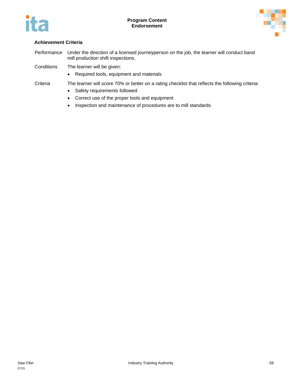

Performance Under the direction of a licensed journeyperson on the job, the learner will conduct band mill production shift inspections.

Conditions The learner will be given:

- Required tools, equipment and materials
- Criteria The learner will score 70% or better on a rating checklist that reflects the following criteria:
	- Safety requirements followed
	- Correct use of the proper tools and equipment
	- Inspection and maintenance of procedures are to mill standards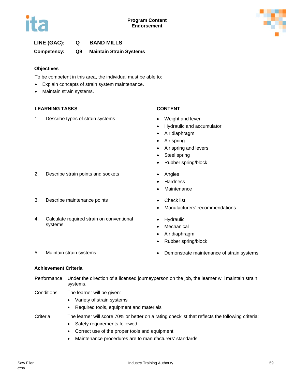

**Competency: Q9 Maintain Strain Systems**

### **Objectives**

To be competent in this area, the individual must be able to:

- Explain concepts of strain system maintenance.
- Maintain strain systems.

### **LEARNING TASKS CONTENT**

1. Describe types of strain systems • Weight and lever

- 
- Hydraulic and accumulator
- Air diaphragm
- Air spring
- Air spring and levers
- Steel spring
- Rubber spring/block
- 2. Describe strain points and sockets **•** Angles
	- Hardness
	- **Maintenance**
- 3. Describe maintenance points Check list
	- Manufacturers' recommendations
	- Hydraulic
	- Mechanical
	- Air diaphragm
	- Rubber spring/block
- 5. Maintain strain systems Demonstrate maintenance of strain systems

4. Calculate required strain on conventional

### **Achievement Criteria**

systems

- Performance Under the direction of a licensed journeyperson on the job, the learner will maintain strain systems.
- Conditions The learner will be given:
	- Variety of strain systems
	- Required tools, equipment and materials
- Criteria The learner will score 70% or better on a rating checklist that reflects the following criteria:
	- Safety requirements followed
	- Correct use of the proper tools and equipment
	- Maintenance procedures are to manufacturers' standards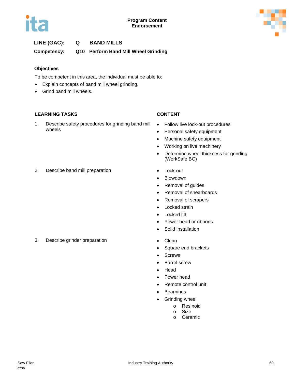

**Competency: Q10 Perform Band Mill Wheel Grinding**

### **Objectives**

To be competent in this area, the individual must be able to:

- Explain concepts of band mill wheel grinding.
- Grind band mill wheels.

### **LEARNING TASKS CONTENT**

1. Describe safety procedures for grinding band mill wheels

- Follow live lock-out procedures
- Personal safety equipment
- Machine safety equipment
- Working on live machinery
- Determine wheel thickness for grinding (WorkSafe BC)
- 2. Describe band mill preparation Lock-out
- - Blowdown
	- Removal of guides
	- Removal of shearboards
	- Removal of scrapers
	- Locked strain
	- Locked tilt
	- Power head or ribbons
	- Solid installation
- 3. Describe grinder preparation **•** Clean
	- Square end brackets
	- Screws
	- Barrel screw
	- Head
	- Power head
	- Remote control unit
	- Bearnings
	- Grinding wheel
		- o Resinoid
		- o Size
		- o Ceramic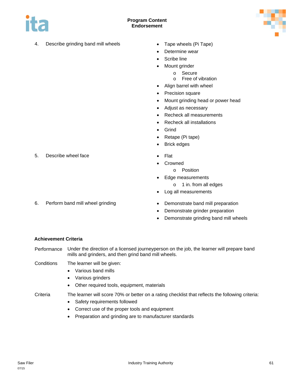



- 4. Describe grinding band mill wheels Tape wheels (Pi Tape)
	-
	- Determine wear
	- Scribe line
	- Mount grinder
		- o Secure
		- o Free of vibration
	- Align barrel with wheel
	- Precision square
	- Mount grinding head or power head
	- Adjust as necessary
	- Recheck all measurements
	- Recheck all installations
	- Grind
	- Retape (Pi tape)
	- Brick edges
	-
	- **Crowned** 
		- o Position
		- Edge measurements
			- o 1 in. from all edges
	- Log all measurements
- 6. Perform band mill wheel grinding **•** Demonstrate band mill preparation
	- Demonstrate grinder preparation
	- Demonstrate grinding band mill wheels

- Performance Under the direction of a licensed journeyperson on the job, the learner will prepare band mills and grinders, and then grind band mill wheels.
- Conditions The learner will be given:
	- Various band mills
	- Various grinders
	- Other required tools, equipment, materials

Criteria The learner will score 70% or better on a rating checklist that reflects the following criteria:

- Safety requirements followed
- Correct use of the proper tools and equipment
- Preparation and grinding are to manufacturer standards

5. Describe wheel face **• Flat**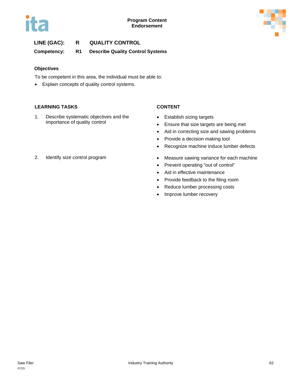



### **LINE (GAC): R QUALITY CONTROL Competency: R1 Describe Quality Control Systems**

### **Objectives**

To be competent in this area, the individual must be able to:

• Explain concepts of quality control systems.

### **LEARNING TASKS CONTENT**

1. Describe systematic objectives and the importance of quality control

- Establish sizing targets
- Ensure that size targets are being met
- Aid in correcting size and sawing problems
- Provide a decision making tool
- Recognize machine induce lumber defects
- 2. Identify size control program Measure sawing variance for each machine
	-
	- Prevent operating "out of control"
	- Aid in effective maintenance
	- Provide feedback to the filing room
	- Reduce lumber processing costs
	- Improve lumber recovery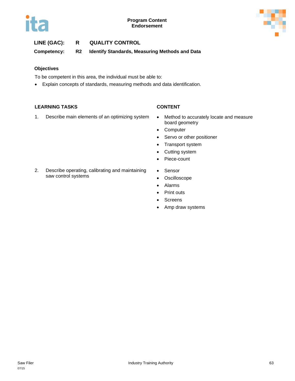



### **LINE (GAC): R QUALITY CONTROL**

**Competency: R2 Identify Standards, Measuring Methods and Data**

### **Objectives**

To be competent in this area, the individual must be able to:

• Explain concepts of standards, measuring methods and data identification.

### **LEARNING TASKS CONTENT**

- 1. Describe main elements of an optimizing system . Method to accurately locate and measure
	- board geometry
	- Computer
	- Servo or other positioner
	- Transport system
	- Cutting system
	- Piece-count
	- Sensor
	- Oscilloscope
	- Alarms
	- Print outs
	- Screens
	- Amp draw systems
- 2. Describe operating, calibrating and maintaining saw control systems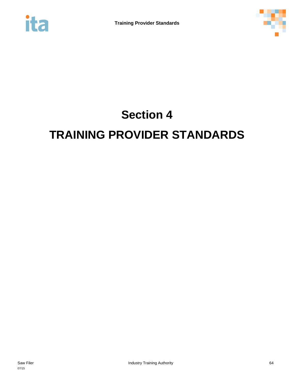



# **Section 4 TRAINING PROVIDER STANDARDS**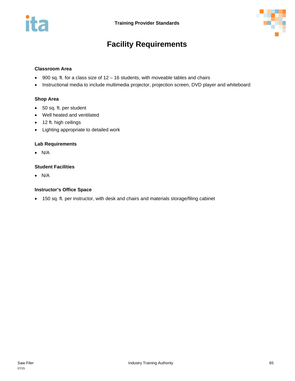



# **Facility Requirements**

### **Classroom Area**

- 900 sq. ft. for a class size of 12 16 students, with moveable tables and chairs
- Instructional media to include multimedia projector, projection screen, DVD player and whiteboard

### **Shop Area**

- 50 sq. ft. per student
- Well heated and ventilated
- 12 ft. high ceilings
- Lighting appropriate to detailed work

### **Lab Requirements**

• N/A

### **Student Facilities**

• N/A

### **Instructor's Office Space**

• 150 sq. ft. per instructor, with desk and chairs and materials storage/filing cabinet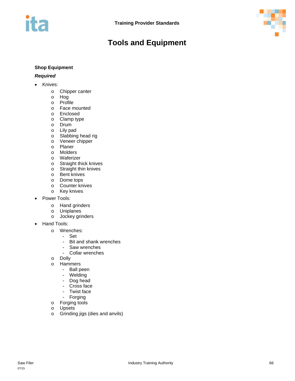

# **Tools and Equipment**

### **Shop Equipment**

### *Required*

- Knives:
	- o Chipper canter
	- o Hog
	- o Profile
	- o Face mounted
	- o Enclosed
	- o Clamp type
	- o Drum
	- o Lily pad
	- o Slabbing head rig
	- o Veneer chipper
	- o Planer
	- o Molders
	- o Waferizer
	- o Straight thick knives
	- o Straight thin knives
	- o Bent knives
	- o Dome tops
	- o Counter knives
	- o Key knives
- Power Tools:
	-
	- o Hand grinders<br>o Uniplanes Uniplanes
	- o Jockey grinders
- Hand Tools:
	- o Wrenches:
		- $-$  Set<br> $-$  Rite
		- Bit and shank wrenches<br>- Saw wrenches
		- Saw wrenches<br>- Collar wrenche
		- Collar wrenches
	- o Dolly
	- o Hammers
		- Ball peen
		- Welding
		- Dog head<br>- Cross face
		- Cross face
		- Twist face<br>- Forging
		- **Forging**
	- o Forging tools
	- o Upsets
	- o Grinding jigs (dies and anvils)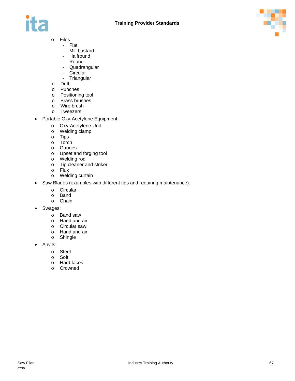



- o Files
	- Flat
	- Mill bastard<br>- Halfround
	- **Halfround**
	- Round
	- Quadrangular<br>- Circular
	- Circular<br>- Triangul
	- **Triangular**
- o Drift
- o Punches
- o Positioning tool
- o Brass brushes
- o Wire brush
- o Tweezers
- Portable Oxy-Acetylene Equipment:
	- o Oxy-Acetylene Unit
	- o Welding clamp<br>o Tips
	- **Tips**
	- o Torch
	- o Gauges
	- o Upset and forging tool
	- o Welding rod
	- o Tip cleaner and striker<br>o Flux
	- o Flux
	- Welding curtain
- Saw Blades (examples with different tips and requiring maintenance):
	-
	- o Circular<br>o Band Band
	- o Chain
- Swages:
	- o Band saw
	- o Hand and air
	- o Circular saw
	- o Hand and air<br>o Shingle
	- Shingle
- Anvils:
	- o Steel
	- o Soft<br>o Hard
	- Hard faces
	- o Crowned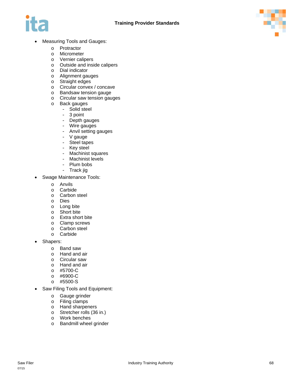



- Measuring Tools and Gauges:
	- o Protractor
	- o Micrometer
	- o Vernier calipers
	- o Outside and inside calipers
	- o Dial indicator
	- o Alignment gauges
	- o Straight edges
	- o Circular convex / concave
	- o Bandsaw tension gauge
	- o Circular saw tension gauges
	- o Back gauges
		- Solid steel
			- 3 point
			- Depth gauges
			- Wire gauges
			- Anvil setting gauges<br>- V gauge
			- V gauge
			- Steel tapes
			- Key steel
			- Machinist squares<br>- Machinist levels
			- Machinist levels<br>- Plum bobs
			- Plum bobs<br>- Track iig
			- Track jig
- Swage Maintenance Tools:
	- o Anvils
	- o Carbide
	- o Carbon steel
	- o Dies
	- o Long bite
	- o Short bite
	- o Extra short bite
	- o Clamp screws<br>o Carbon steel
	- Carbon steel
	- o Carbide
- Shapers:
	- o Band saw
	- o Hand and air
	- o Circular saw
	- o Hand and air
	- o #5700-C
	- o #6900-C
	- o #5500-S
- Saw Filing Tools and Equipment:
	- o Gauge grinder
	- o Filing clamps
	- o Hand sharpeners
	- o Stretcher rolls (36 in.)
	- o Work benches
	- o Bandmill wheel grinder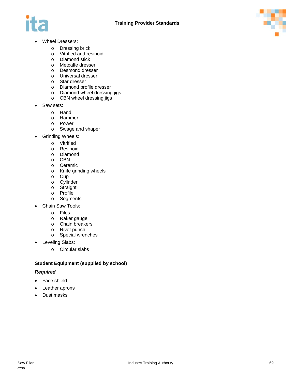



- Wheel Dressers:
	- o Dressing brick
	- o Vitrified and resinoid<br>o Diamond stick
	- Diamond stick
	- o Metcalfe dresser
	- o Desmond dresser
	- o Universal dresser
	- o Star dresser
	- o Diamond profile dresser
	- o Diamond wheel dressing jigs
	- o CBN wheel dressing jigs
- Saw sets:
	-
	- o Hand<br>o Hamn Hammer
	-
	- o Power<br>o Swage Swage and shaper
- Grinding Wheels:
	-
	- o Vitrified<br>o Resinoi Resinoid
	- o Diamond
	- o CBN
	- o Ceramic
	- o Knife grinding wheels<br>o Cup
	- Cup
	- o Cylinder
	- o Straight<br>o Profile
	- Profile
	- o Segments
- Chain Saw Tools:
	- o Files
	- o Raker gauge
	- o Chain breakers
	- o Rivet punch
	- o Special wrenches
- Leveling Slabs:
	- o Circular slabs

### **Student Equipment (supplied by school)**

### *Required*

- Face shield
- Leather aprons
- Dust masks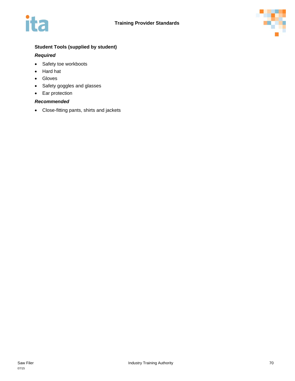



### **Student Tools (supplied by student)**

### *Required*

- Safety toe workboots
- Hard hat
- Gloves
- Safety goggles and glasses
- Ear protection

### *Recommended*

• Close-fitting pants, shirts and jackets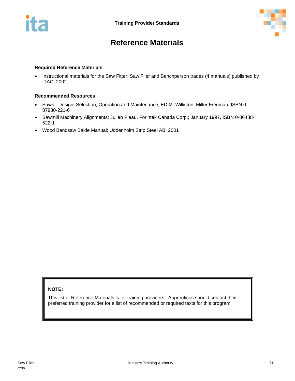



# **Reference Materials**

### **Required Reference Materials**

• Instructional materials for the Saw Fitter, Saw Filer and Benchperson trades (4 manuals) published by ITAC, 2002

### **Recommended Resources**

- Saws Design, Selection, Operation and Maintenance; ED M. Williston, Miller Freeman, ISBN 0- 87930-221-6
- Sawmill Machinery Alignments; Julien Pleau, Forintek Canada Corp.; January 1997, ISBN 0-86488- 522-1
- Wood Bandsaw Balde Manual; Uddenholm Strip Steel AB, 2001

### **NOTE:**

This list of Reference Materials is for training providers. Apprentices should contact their preferred training provider for a list of recommended or required texts for this program.